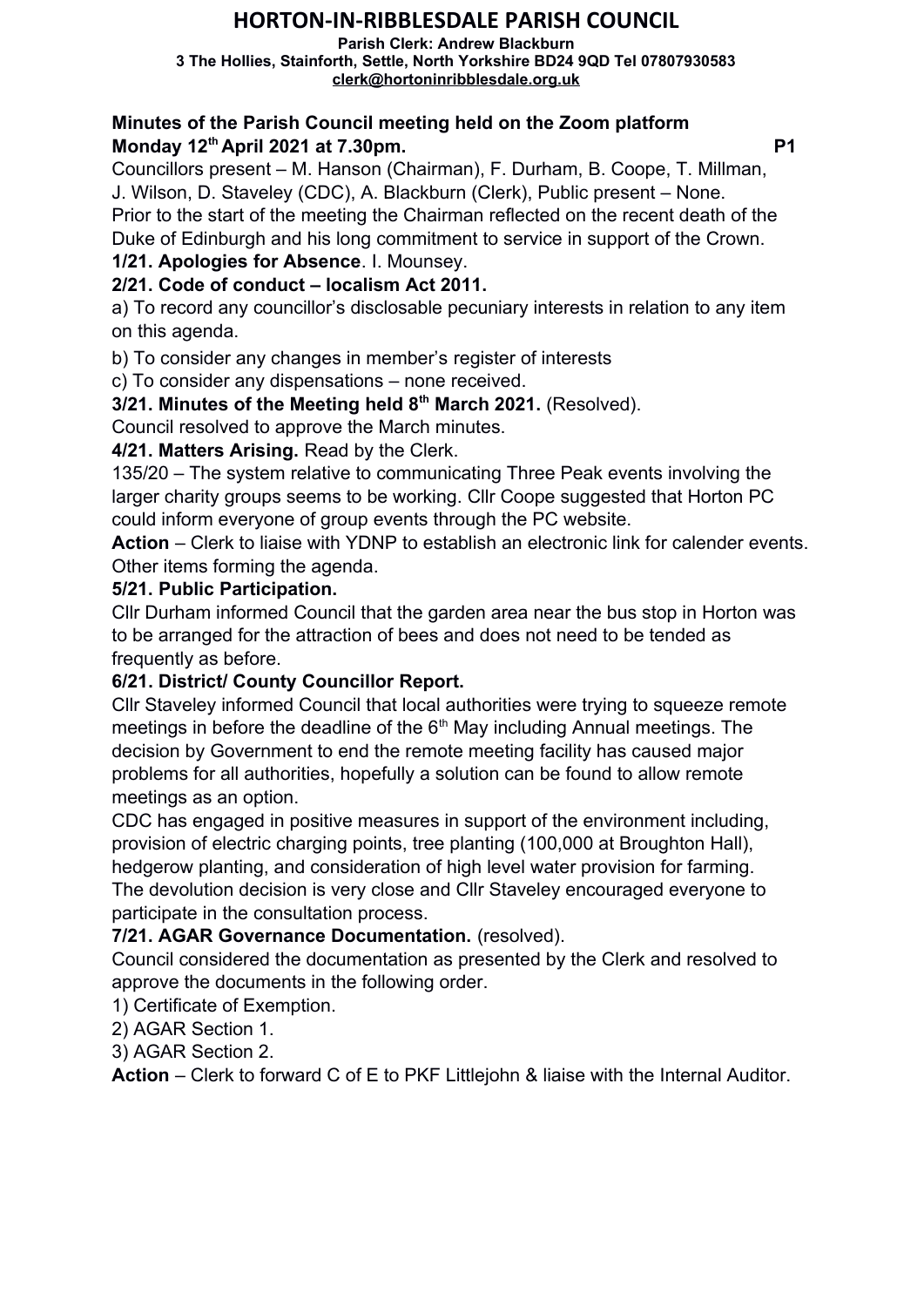# **HORTON-IN-RIBBLESDALE PARISH COUNCIL**

**Parish Clerk: Andrew Blackburn 3 The Hollies, Stainforth, Settle, North Yorkshire BD24 9QD Tel 07807930583 [clerk@hortoninribblesdale.org.uk](mailto:clerk@hortoninribblesdale.org.uk)**

#### **Minutes of the Parish Council meeting held on the Zoom platform Monday 12<sup>th</sup> April 2021 at 7.30pm. P1**

Councillors present – M. Hanson (Chairman), F. Durham, B. Coope, T. Millman, J. Wilson, D. Staveley (CDC), A. Blackburn (Clerk), Public present – None. Prior to the start of the meeting the Chairman reflected on the recent death of the

Duke of Edinburgh and his long commitment to service in support of the Crown.

**1/21. Apologies for Absence**. I. Mounsey.

# **2/21. Code of conduct – localism Act 2011.**

a) To record any councillor's disclosable pecuniary interests in relation to any item on this agenda.

b) To consider any changes in member's register of interests

c) To consider any dispensations – none received.

**3/21. Minutes of the Meeting held 8th March 2021.** (Resolved).

Council resolved to approve the March minutes.

# **4/21. Matters Arising.** Read by the Clerk.

135/20 – The system relative to communicating Three Peak events involving the larger charity groups seems to be working. Cllr Coope suggested that Horton PC could inform everyone of group events through the PC website.

**Action** – Clerk to liaise with YDNP to establish an electronic link for calender events. Other items forming the agenda.

## **5/21. Public Participation.**

Cllr Durham informed Council that the garden area near the bus stop in Horton was to be arranged for the attraction of bees and does not need to be tended as frequently as before.

## **6/21. District/ County Councillor Report.**

Cllr Staveley informed Council that local authorities were trying to squeeze remote meetings in before the deadline of the  $6<sup>th</sup>$  May including Annual meetings. The decision by Government to end the remote meeting facility has caused major problems for all authorities, hopefully a solution can be found to allow remote meetings as an option.

CDC has engaged in positive measures in support of the environment including, provision of electric charging points, tree planting (100,000 at Broughton Hall), hedgerow planting, and consideration of high level water provision for farming. The devolution decision is very close and Cllr Staveley encouraged everyone to participate in the consultation process.

# **7/21. AGAR Governance Documentation.** (resolved).

Council considered the documentation as presented by the Clerk and resolved to approve the documents in the following order.

1) Certificate of Exemption.

2) AGAR Section 1.

3) AGAR Section 2.

**Action** – Clerk to forward C of E to PKF Littlejohn & liaise with the Internal Auditor.